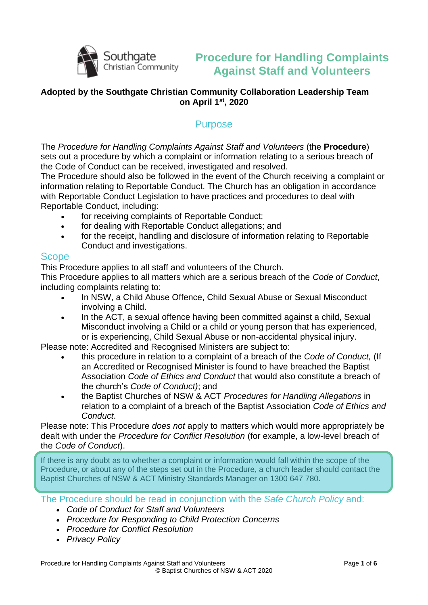

## **Procedure for Handling Complaints Against Staff and Volunteers**

#### **Adopted by the Southgate Christian Community Collaboration Leadership Team on April 1st, 2020**

### **Purpose**

The *Procedure for Handling Complaints Against Staff and Volunteers* (the **Procedure**) sets out a procedure by which a complaint or information relating to a serious breach of the Code of Conduct can be received, investigated and resolved.

The Procedure should also be followed in the event of the Church receiving a complaint or information relating to Reportable Conduct. The Church has an obligation in accordance with Reportable Conduct Legislation to have practices and procedures to deal with Reportable Conduct, including:

- for receiving complaints of Reportable Conduct;
- for dealing with Reportable Conduct allegations; and
- for the receipt, handling and disclosure of information relating to Reportable Conduct and investigations.

#### Scope

This Procedure applies to all staff and volunteers of the Church.

This Procedure applies to all matters which are a serious breach of the *Code of Conduct*, including complaints relating to:

- In NSW, a Child Abuse Offence, Child Sexual Abuse or Sexual Misconduct involving a Child.
- In the ACT, a sexual offence having been committed against a child, Sexual Misconduct involving a Child or a child or young person that has experienced, or is experiencing, Child Sexual Abuse or non-accidental physical injury.

Please note: Accredited and Recognised Ministers are subject to:

- this procedure in relation to a complaint of a breach of the *Code of Conduct,* (If an Accredited or Recognised Minister is found to have breached the Baptist Association *Code of Ethics and Conduct* that would also constitute a breach of the church's *Code of Conduct)*; and
- the Baptist Churches of NSW & ACT *Procedures for Handling Allegations* in relation to a complaint of a breach of the Baptist Association *Code of Ethics and Conduct*.

Please note: This Procedure *does not* apply to matters which would more appropriately be dealt with under the *Procedure for Conflict Resolution* (for example, a low-level breach of the *Code of Conduct*).

If there is any doubt as to whether a complaint or information would fall within the scope of the Procedure, or about any of the steps set out in the Procedure, a church leader should contact the Baptist Churches of NSW & ACT Ministry Standards Manager on 1300 647 780.

The Procedure should be read in conjunction with the *Safe Church Policy* and:

- *Code of Conduct for Staff and Volunteers*
- *Procedure for Responding to Child Protection Concerns*
- *Procedure for Conflict Resolution*
- *Privacy Policy*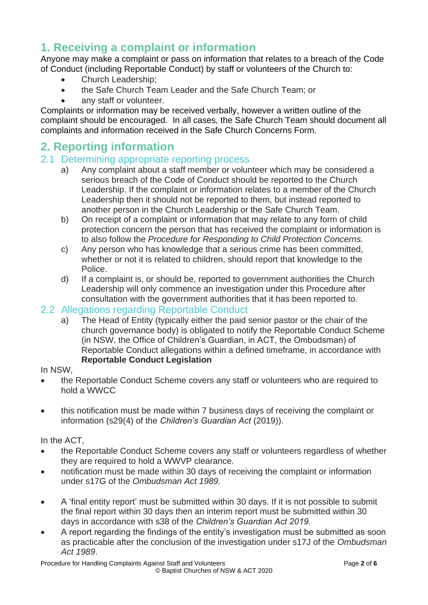# **1. Receiving a complaint or information**

Anyone may make a complaint or pass on information that relates to a breach of the Code of Conduct (including Reportable Conduct) by staff or volunteers of the Church to:

- Church Leadership;
- the Safe Church Team Leader and the Safe Church Team; or
- anv staff or volunteer.

Complaints or information may be received verbally, however a written outline of the complaint should be encouraged. In all cases, the Safe Church Team should document all complaints and information received in the Safe Church Concerns Form.

### **2. Reporting information**

#### 2.1 Determining appropriate reporting process

- a) Any complaint about a staff member or volunteer which may be considered a serious breach of the Code of Conduct should be reported to the Church Leadership. If the complaint or information relates to a member of the Church Leadership then it should not be reported to them, but instead reported to another person in the Church Leadership or the Safe Church Team.
- b) On receipt of a complaint or information that may relate to any form of child protection concern the person that has received the complaint or information is to also follow the *Procedure for Responding to Child Protection Concerns.*
- c) Any person who has knowledge that a serious crime has been committed, whether or not it is related to children, should report that knowledge to the Police.
- d) If a complaint is, or should be, reported to government authorities the Church Leadership will only commence an investigation under this Procedure after consultation with the government authorities that it has been reported to.

### 2.2 Allegations regarding Reportable Conduct

a) The Head of Entity (typically either the paid senior pastor or the chair of the church governance body) is obligated to notify the Reportable Conduct Scheme (in NSW, the Office of Children's Guardian, in ACT, the Ombudsman) of Reportable Conduct allegations within a defined timeframe, in accordance with **Reportable Conduct Legislation**

#### In NSW,

- the Reportable Conduct Scheme covers any staff or volunteers who are required to hold a WWCC
- this notification must be made within 7 business days of receiving the complaint or information (s29(4) of the *Children's Guardian Act* (2019)).

In the ACT,

- the Reportable Conduct Scheme covers any staff or volunteers regardless of whether they are required to hold a WWVP clearance.
- notification must be made within 30 days of receiving the complaint or information under s17G of the *Ombudsman Act 1989.*
- A 'final entity report' must be submitted within 30 days. If it is not possible to submit the final report within 30 days then an interim report must be submitted within 30 days in accordance with s38 of the *Children's Guardian Act 2019.*
- A report regarding the findings of the entity's investigation must be submitted as soon as practicable after the conclusion of the investigation under s17J of the *Ombudsman Act 1989*.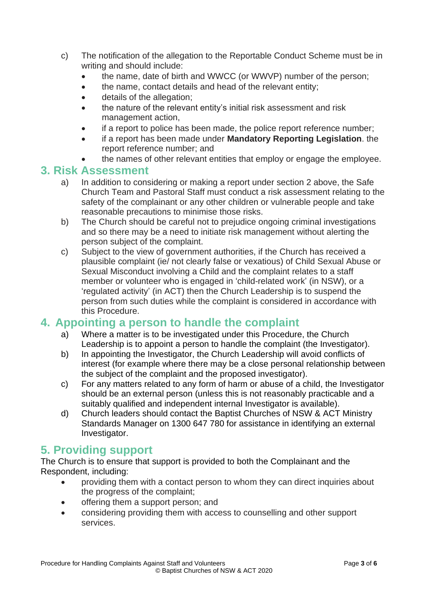- c) The notification of the allegation to the Reportable Conduct Scheme must be in writing and should include:
	- the name, date of birth and WWCC (or WWVP) number of the person;
	- the name, contact details and head of the relevant entity;
	- details of the allegation;
	- the nature of the relevant entity's initial risk assessment and risk management action,
	- if a report to police has been made, the police report reference number;
	- if a report has been made under **Mandatory Reporting Legislation**. the report reference number; and
	- the names of other relevant entities that employ or engage the employee.

### **3. Risk Assessment**

- a) In addition to considering or making a report under section 2 above, the Safe Church Team and Pastoral Staff must conduct a risk assessment relating to the safety of the complainant or any other children or vulnerable people and take reasonable precautions to minimise those risks.
- b) The Church should be careful not to prejudice ongoing criminal investigations and so there may be a need to initiate risk management without alerting the person subject of the complaint.
- c) Subject to the view of government authorities, if the Church has received a plausible complaint (ie/ not clearly false or vexatious) of Child Sexual Abuse or Sexual Misconduct involving a Child and the complaint relates to a staff member or volunteer who is engaged in 'child-related work' (in NSW), or a 'regulated activity' (in ACT) then the Church Leadership is to suspend the person from such duties while the complaint is considered in accordance with this Procedure.

### **4. Appointing a person to handle the complaint**

- a) Where a matter is to be investigated under this Procedure, the Church Leadership is to appoint a person to handle the complaint (the Investigator).
- b) In appointing the Investigator, the Church Leadership will avoid conflicts of interest (for example where there may be a close personal relationship between the subject of the complaint and the proposed investigator).
- c) For any matters related to any form of harm or abuse of a child, the Investigator should be an external person (unless this is not reasonably practicable and a suitably qualified and independent internal Investigator is available).
- d) Church leaders should contact the Baptist Churches of NSW & ACT Ministry Standards Manager on 1300 647 780 for assistance in identifying an external Investigator.

## **5. Providing support**

The Church is to ensure that support is provided to both the Complainant and the Respondent, including:

- providing them with a contact person to whom they can direct inquiries about the progress of the complaint;
- offering them a support person; and
- considering providing them with access to counselling and other support services.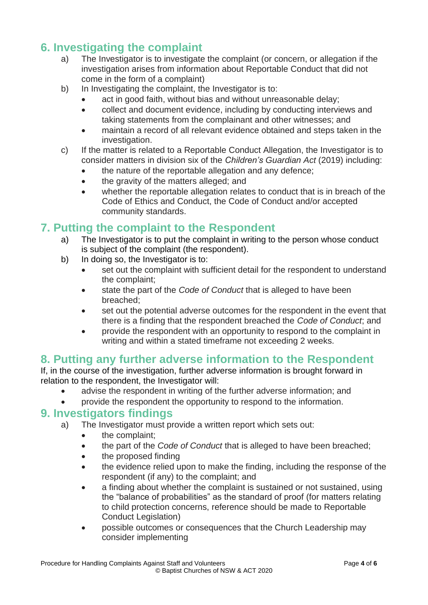## **6. Investigating the complaint**

- a) The Investigator is to investigate the complaint (or concern, or allegation if the investigation arises from information about Reportable Conduct that did not come in the form of a complaint)
- b) In Investigating the complaint, the Investigator is to:
	- act in good faith, without bias and without unreasonable delay;
	- collect and document evidence, including by conducting interviews and taking statements from the complainant and other witnesses; and
	- maintain a record of all relevant evidence obtained and steps taken in the investigation.
- c) If the matter is related to a Reportable Conduct Allegation, the Investigator is to consider matters in division six of the *Children's Guardian Act* (2019) including:
	- the nature of the reportable allegation and any defence;
	- the gravity of the matters alleged; and
	- whether the reportable allegation relates to conduct that is in breach of the Code of Ethics and Conduct, the Code of Conduct and/or accepted community standards.

### **7. Putting the complaint to the Respondent**

- a) The Investigator is to put the complaint in writing to the person whose conduct is subject of the complaint (the respondent).
- b) In doing so, the Investigator is to:
	- set out the complaint with sufficient detail for the respondent to understand the complaint;
	- state the part of the *Code of Conduct* that is alleged to have been breached;
	- set out the potential adverse outcomes for the respondent in the event that there is a finding that the respondent breached the *Code of Conduct*; and
	- provide the respondent with an opportunity to respond to the complaint in writing and within a stated timeframe not exceeding 2 weeks.

## **8. Putting any further adverse information to the Respondent**

If, in the course of the investigation, further adverse information is brought forward in relation to the respondent, the Investigator will:

- advise the respondent in writing of the further adverse information; and
- provide the respondent the opportunity to respond to the information.

### **9. Investigators findings**

- a) The Investigator must provide a written report which sets out:
	- the complaint:
	- the part of the *Code of Conduct* that is alleged to have been breached;
	- the proposed finding
	- the evidence relied upon to make the finding, including the response of the respondent (if any) to the complaint; and
	- a finding about whether the complaint is sustained or not sustained, using the "balance of probabilities" as the standard of proof (for matters relating to child protection concerns, reference should be made to Reportable Conduct Legislation)
	- possible outcomes or consequences that the Church Leadership may consider implementing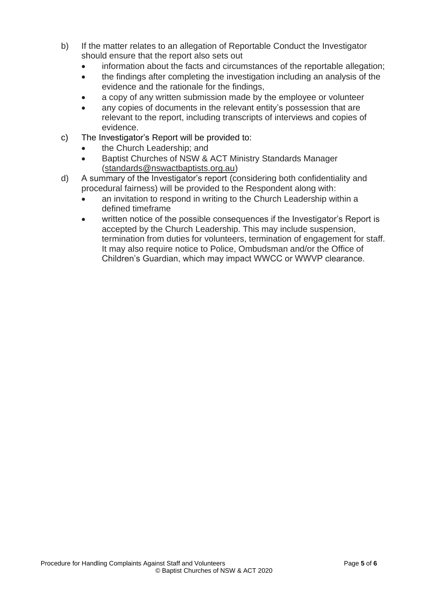- b) If the matter relates to an allegation of Reportable Conduct the Investigator should ensure that the report also sets out
	- information about the facts and circumstances of the reportable allegation;
	- the findings after completing the investigation including an analysis of the evidence and the rationale for the findings,
	- a copy of any written submission made by the employee or volunteer
	- any copies of documents in the relevant entity's possession that are relevant to the report, including transcripts of interviews and copies of evidence.
- c) The Investigator's Report will be provided to:
	- the Church Leadership; and
	- Baptist Churches of NSW & ACT Ministry Standards Manager [\(standards@nswactbaptists.org.au\)](mailto:standards@nswactbaptists.org.au)
- d) A summary of the Investigator's report (considering both confidentiality and procedural fairness) will be provided to the Respondent along with:
	- an invitation to respond in writing to the Church Leadership within a defined timeframe
	- written notice of the possible consequences if the Investigator's Report is accepted by the Church Leadership. This may include suspension, termination from duties for volunteers, termination of engagement for staff. It may also require notice to Police, Ombudsman and/or the Office of Children's Guardian, which may impact WWCC or WWVP clearance.